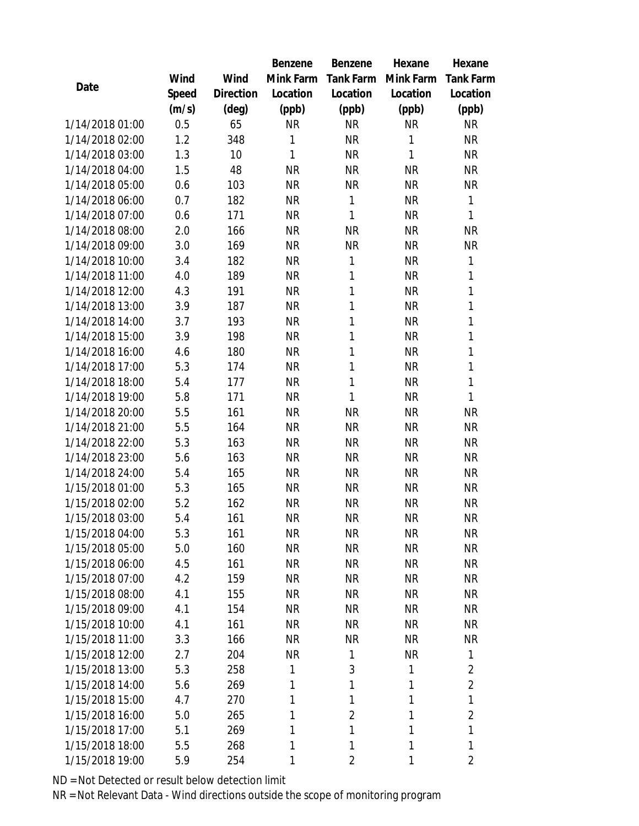|                 |       |           | Benzene   | Benzene        | Hexane       | Hexane           |
|-----------------|-------|-----------|-----------|----------------|--------------|------------------|
|                 | Wind  | Wind      | Mink Farm | Tank Farm      | Mink Farm    | <b>Tank Farm</b> |
| Date            | Speed | Direction | Location  | Location       | Location     | Location         |
|                 | (m/s) | (deg)     | (ppb)     | (ppb)          | (ppb)        | (ppb)            |
| 1/14/2018 01:00 | 0.5   | 65        | <b>NR</b> | <b>NR</b>      | <b>NR</b>    | <b>NR</b>        |
| 1/14/2018 02:00 | 1.2   | 348       | 1         | <b>NR</b>      | $\mathbf{1}$ | <b>NR</b>        |
| 1/14/2018 03:00 | 1.3   | 10        | 1         | <b>NR</b>      | 1            | <b>NR</b>        |
| 1/14/2018 04:00 | 1.5   | 48        | <b>NR</b> | <b>NR</b>      | <b>NR</b>    | <b>NR</b>        |
| 1/14/2018 05:00 | 0.6   | 103       | <b>NR</b> | <b>NR</b>      | <b>NR</b>    | <b>NR</b>        |
| 1/14/2018 06:00 | 0.7   | 182       | <b>NR</b> | $\mathbf{1}$   | <b>NR</b>    | $\mathbf{1}$     |
| 1/14/2018 07:00 | 0.6   | 171       | <b>NR</b> | $\mathbf{1}$   | <b>NR</b>    | $\mathbf{1}$     |
| 1/14/2018 08:00 | 2.0   | 166       | <b>NR</b> | <b>NR</b>      | <b>NR</b>    | <b>NR</b>        |
| 1/14/2018 09:00 | 3.0   | 169       | <b>NR</b> | <b>NR</b>      | <b>NR</b>    | <b>NR</b>        |
| 1/14/2018 10:00 | 3.4   | 182       | <b>NR</b> | 1              | <b>NR</b>    | $\mathbf{1}$     |
| 1/14/2018 11:00 | 4.0   | 189       | <b>NR</b> | $\mathbf{1}$   | <b>NR</b>    | $\mathbf{1}$     |
| 1/14/2018 12:00 | 4.3   | 191       | <b>NR</b> | 1              | <b>NR</b>    | $\mathbf{1}$     |
| 1/14/2018 13:00 | 3.9   | 187       | <b>NR</b> | 1              | <b>NR</b>    | $\mathbf{1}$     |
| 1/14/2018 14:00 | 3.7   | 193       | <b>NR</b> | $\mathbf{1}$   | <b>NR</b>    | $\mathbf{1}$     |
| 1/14/2018 15:00 | 3.9   | 198       | <b>NR</b> | $\mathbf{1}$   | <b>NR</b>    | $\mathbf{1}$     |
| 1/14/2018 16:00 | 4.6   | 180       | <b>NR</b> | $\mathbf{1}$   | <b>NR</b>    | $\mathbf{1}$     |
| 1/14/2018 17:00 | 5.3   | 174       | <b>NR</b> | $\mathbf{1}$   | <b>NR</b>    | $\mathbf{1}$     |
| 1/14/2018 18:00 | 5.4   | 177       | <b>NR</b> | $\mathbf{1}$   | <b>NR</b>    | $\mathbf{1}$     |
| 1/14/2018 19:00 | 5.8   | 171       | <b>NR</b> | $\mathbf{1}$   | <b>NR</b>    | $\mathbf{1}$     |
| 1/14/2018 20:00 | 5.5   | 161       | <b>NR</b> | <b>NR</b>      | <b>NR</b>    | <b>NR</b>        |
| 1/14/2018 21:00 | 5.5   | 164       | <b>NR</b> | <b>NR</b>      | <b>NR</b>    | <b>NR</b>        |
| 1/14/2018 22:00 | 5.3   | 163       | <b>NR</b> | <b>NR</b>      | <b>NR</b>    | <b>NR</b>        |
| 1/14/2018 23:00 | 5.6   | 163       | <b>NR</b> | <b>NR</b>      | <b>NR</b>    | <b>NR</b>        |
| 1/14/2018 24:00 | 5.4   | 165       | <b>NR</b> | <b>NR</b>      | <b>NR</b>    | <b>NR</b>        |
| 1/15/2018 01:00 | 5.3   | 165       | <b>NR</b> | <b>NR</b>      | <b>NR</b>    | <b>NR</b>        |
| 1/15/2018 02:00 | 5.2   | 162       | <b>NR</b> | <b>NR</b>      | <b>NR</b>    | <b>NR</b>        |
| 1/15/2018 03:00 | 5.4   | 161       | <b>NR</b> | <b>NR</b>      | <b>NR</b>    | <b>NR</b>        |
| 1/15/2018 04:00 | 5.3   | 161       | <b>NR</b> | ΝR             | <b>NR</b>    | NR               |
| 1/15/2018 05:00 | 5.0   | 160       | <b>NR</b> | <b>NR</b>      | <b>NR</b>    | <b>NR</b>        |
| 1/15/2018 06:00 | 4.5   | 161       | <b>NR</b> | <b>NR</b>      | <b>NR</b>    | <b>NR</b>        |
| 1/15/2018 07:00 | 4.2   | 159       | <b>NR</b> | <b>NR</b>      | <b>NR</b>    | NR               |
| 1/15/2018 08:00 | 4.1   | 155       | <b>NR</b> | <b>NR</b>      | <b>NR</b>    | NR               |
| 1/15/2018 09:00 | 4.1   | 154       | <b>NR</b> | NR             | <b>NR</b>    | <b>NR</b>        |
| 1/15/2018 10:00 | 4.1   | 161       | NR        | <b>NR</b>      | <b>NR</b>    | <b>NR</b>        |
| 1/15/2018 11:00 | 3.3   | 166       | NR.       | NR             | NR           | NR               |
| 1/15/2018 12:00 | 2.7   | 204       | <b>NR</b> | 1              | <b>NR</b>    | 1                |
| 1/15/2018 13:00 | 5.3   | 258       | 1         | 3              | 1            | $\overline{2}$   |
| 1/15/2018 14:00 | 5.6   | 269       | 1         | $\mathbf{1}$   | 1            | $\overline{2}$   |
| 1/15/2018 15:00 | 4.7   | 270       | 1         | $\mathbf{1}$   | 1            | 1                |
| 1/15/2018 16:00 | 5.0   | 265       | 1         | $\overline{2}$ | 1            | $\overline{2}$   |
| 1/15/2018 17:00 | 5.1   | 269       | 1         | $\mathbf{1}$   | 1            | 1                |
| 1/15/2018 18:00 | 5.5   | 268       | 1         | $\mathbf{1}$   | 1            | 1                |
| 1/15/2018 19:00 | 5.9   | 254       | 1         | $\overline{2}$ | 1            | $\overline{2}$   |

ND = Not Detected or result below detection limit

NR = Not Relevant Data - Wind directions outside the scope of monitoring program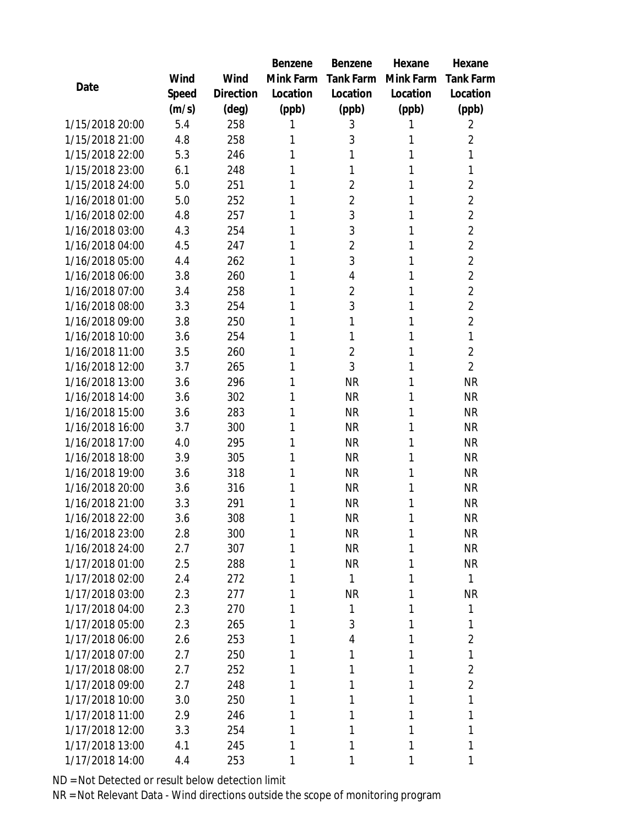|                 |       |                | Benzene   | Benzene        | Hexane    | Hexane           |
|-----------------|-------|----------------|-----------|----------------|-----------|------------------|
|                 | Wind  | Wind           | Mink Farm | Tank Farm      | Mink Farm | <b>Tank Farm</b> |
| Date            | Speed | Direction      | Location  | Location       | Location  | Location         |
|                 | (m/s) | $(\text{deg})$ | (ppb)     | (ppb)          | (ppb)     | (ppb)            |
| 1/15/2018 20:00 | 5.4   | 258            | 1         | 3              | 1         | $\overline{2}$   |
| 1/15/2018 21:00 | 4.8   | 258            | 1         | 3              | 1         | $\overline{2}$   |
| 1/15/2018 22:00 | 5.3   | 246            | 1         | 1              | 1         | $\mathbf{1}$     |
| 1/15/2018 23:00 | 6.1   | 248            | 1         | 1              | 1         | $\mathbf{1}$     |
| 1/15/2018 24:00 | 5.0   | 251            | 1         | $\overline{2}$ | 1         | $\overline{2}$   |
| 1/16/2018 01:00 | 5.0   | 252            | 1         | $\overline{2}$ | 1         | $\overline{2}$   |
| 1/16/2018 02:00 | 4.8   | 257            | 1         | 3              | 1         | $\overline{2}$   |
| 1/16/2018 03:00 | 4.3   | 254            | 1         | 3              | 1         | $\overline{2}$   |
| 1/16/2018 04:00 | 4.5   | 247            | 1         | $\overline{2}$ | 1         | $\overline{2}$   |
| 1/16/2018 05:00 | 4.4   | 262            | 1         | 3              | 1         | $\overline{2}$   |
| 1/16/2018 06:00 | 3.8   | 260            | 1         | 4              | 1         | $\overline{2}$   |
| 1/16/2018 07:00 | 3.4   | 258            | 1         | $\overline{2}$ | 1         | $\overline{2}$   |
| 1/16/2018 08:00 | 3.3   | 254            | 1         | 3              | 1         | $\overline{2}$   |
| 1/16/2018 09:00 | 3.8   | 250            | 1         | 1              | 1         | $\overline{2}$   |
| 1/16/2018 10:00 | 3.6   | 254            | 1         | 1              | 1         | $\mathbf{1}$     |
| 1/16/2018 11:00 | 3.5   | 260            | 1         | $\overline{2}$ | 1         | $\overline{2}$   |
| 1/16/2018 12:00 | 3.7   | 265            | 1         | 3              | 1         | $\overline{2}$   |
| 1/16/2018 13:00 | 3.6   | 296            | 1         | <b>NR</b>      | 1         | <b>NR</b>        |
| 1/16/2018 14:00 | 3.6   | 302            | 1         | <b>NR</b>      | 1         | <b>NR</b>        |
| 1/16/2018 15:00 | 3.6   | 283            | 1         | <b>NR</b>      | 1         | <b>NR</b>        |
| 1/16/2018 16:00 | 3.7   | 300            | 1         | <b>NR</b>      | 1         | <b>NR</b>        |
| 1/16/2018 17:00 | 4.0   | 295            | 1         | <b>NR</b>      | 1         | <b>NR</b>        |
| 1/16/2018 18:00 | 3.9   | 305            | 1         | <b>NR</b>      | 1         | <b>NR</b>        |
| 1/16/2018 19:00 | 3.6   | 318            | 1         | <b>NR</b>      | 1         | <b>NR</b>        |
| 1/16/2018 20:00 | 3.6   | 316            | 1         | <b>NR</b>      | 1         | <b>NR</b>        |
| 1/16/2018 21:00 | 3.3   | 291            | 1         | <b>NR</b>      | 1         | <b>NR</b>        |
| 1/16/2018 22:00 | 3.6   | 308            | 1         | <b>NR</b>      | 1         | <b>NR</b>        |
| 1/16/2018 23:00 | 2.8   | 300            | 1         | <b>NR</b>      | 1         | <b>NR</b>        |
| 1/16/2018 24:00 | 2.7   | 307            | 1         | <b>NR</b>      | 1         | <b>NR</b>        |
| 1/17/2018 01:00 | 2.5   | 288            | 1         | <b>NR</b>      | 1         | <b>NR</b>        |
| 1/17/2018 02:00 | 2.4   | 272            | 1         | $\mathbf{1}$   | 1         | $\mathbf{1}$     |
| 1/17/2018 03:00 | 2.3   | 277            | 1         | <b>NR</b>      | 1         | <b>NR</b>        |
| 1/17/2018 04:00 | 2.3   | 270            | 1         | $\mathbf{1}$   | 1         | 1                |
| 1/17/2018 05:00 | 2.3   | 265            | 1         | 3              | 1         | 1                |
| 1/17/2018 06:00 | 2.6   | 253            | 1         | 4              | 1         | $\overline{2}$   |
| 1/17/2018 07:00 | 2.7   | 250            | 1         | 1              | 1         | $\mathbf{1}$     |
| 1/17/2018 08:00 | 2.7   | 252            | 1         | 1              | 1         | $\overline{2}$   |
| 1/17/2018 09:00 | 2.7   | 248            | 1         | 1              | 1         | $\overline{2}$   |
| 1/17/2018 10:00 | 3.0   | 250            | 1         | 1              | 1         | $\mathbf{1}$     |
| 1/17/2018 11:00 | 2.9   | 246            | 1         | 1              | 1         | 1                |
| 1/17/2018 12:00 | 3.3   | 254            | 1         | 1              | 1         | 1                |
| 1/17/2018 13:00 | 4.1   | 245            | 1         | 1              | 1         | 1                |
| 1/17/2018 14:00 | 4.4   | 253            | 1         | 1              | 1         | 1                |

ND = Not Detected or result below detection limit

NR = Not Relevant Data - Wind directions outside the scope of monitoring program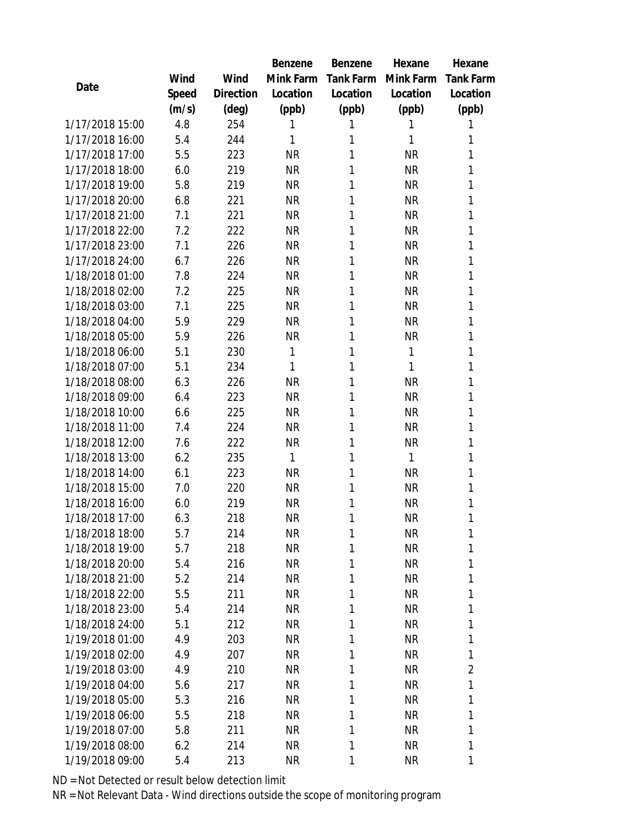|                 |       |           | Benzene   | Benzene          | Hexane       | Hexane           |
|-----------------|-------|-----------|-----------|------------------|--------------|------------------|
|                 | Wind  | Wind      | Mink Farm | <b>Tank Farm</b> | Mink Farm    | <b>Tank Farm</b> |
| Date            | Speed | Direction | Location  | Location         | Location     | Location         |
|                 | (m/s) | (deg)     | (ppb)     | (ppb)            | (ppb)        | (ppb)            |
| 1/17/2018 15:00 | 4.8   | 254       | 1         | 1                | 1            | 1                |
| 1/17/2018 16:00 | 5.4   | 244       | 1         | 1                | 1            | 1                |
| 1/17/2018 17:00 | 5.5   | 223       | <b>NR</b> | 1                | <b>NR</b>    | 1                |
| 1/17/2018 18:00 | 6.0   | 219       | <b>NR</b> | 1                | <b>NR</b>    | 1                |
| 1/17/2018 19:00 | 5.8   | 219       | <b>NR</b> | 1                | <b>NR</b>    | 1                |
| 1/17/2018 20:00 | 6.8   | 221       | <b>NR</b> | 1                | <b>NR</b>    | 1                |
| 1/17/2018 21:00 | 7.1   | 221       | <b>NR</b> | 1                | <b>NR</b>    | 1                |
| 1/17/2018 22:00 | 7.2   | 222       | <b>NR</b> | 1                | <b>NR</b>    | 1                |
| 1/17/2018 23:00 | 7.1   | 226       | <b>NR</b> | 1                | <b>NR</b>    | 1                |
| 1/17/2018 24:00 | 6.7   | 226       | <b>NR</b> | 1                | <b>NR</b>    | 1                |
| 1/18/2018 01:00 | 7.8   | 224       | <b>NR</b> | 1                | <b>NR</b>    | 1                |
| 1/18/2018 02:00 | 7.2   | 225       | <b>NR</b> | 1                | <b>NR</b>    | 1                |
| 1/18/2018 03:00 | 7.1   | 225       | <b>NR</b> | 1                | <b>NR</b>    | 1                |
| 1/18/2018 04:00 | 5.9   | 229       | <b>NR</b> | 1                | <b>NR</b>    | 1                |
| 1/18/2018 05:00 | 5.9   | 226       | <b>NR</b> | 1                | <b>NR</b>    | 1                |
| 1/18/2018 06:00 | 5.1   | 230       | 1         | 1                | 1            | 1                |
| 1/18/2018 07:00 | 5.1   | 234       | 1         | 1                | 1            | 1                |
| 1/18/2018 08:00 | 6.3   | 226       | <b>NR</b> | 1                | <b>NR</b>    | 1                |
| 1/18/2018 09:00 | 6.4   | 223       | <b>NR</b> | 1                | <b>NR</b>    | 1                |
| 1/18/2018 10:00 | 6.6   | 225       | <b>NR</b> | 1                | <b>NR</b>    | 1                |
| 1/18/2018 11:00 | 7.4   | 224       | <b>NR</b> | 1                | <b>NR</b>    | 1                |
| 1/18/2018 12:00 | 7.6   | 222       | <b>NR</b> | 1                | <b>NR</b>    | 1                |
| 1/18/2018 13:00 | 6.2   | 235       | 1         | 1                | $\mathbf{1}$ | 1                |
| 1/18/2018 14:00 | 6.1   | 223       | <b>NR</b> | 1                | <b>NR</b>    | 1                |
| 1/18/2018 15:00 | 7.0   | 220       | <b>NR</b> | 1                | <b>NR</b>    | 1                |
| 1/18/2018 16:00 | 6.0   | 219       | <b>NR</b> | 1                | <b>NR</b>    | 1                |
| 1/18/2018 17:00 | 6.3   | 218       | <b>NR</b> | 1                | <b>NR</b>    | 1                |
| 1/18/2018 18:00 | 5.7   | 214       | NR        | $\mathbf{1}$     | <b>NR</b>    | 1                |
| 1/18/2018 19:00 | 5.7   | 218       | <b>NR</b> | 1                | <b>NR</b>    | 1                |
| 1/18/2018 20:00 | 5.4   | 216       | <b>NR</b> | 1                | <b>NR</b>    | 1                |
| 1/18/2018 21:00 | 5.2   | 214       | <b>NR</b> | 1                | <b>NR</b>    | 1                |
| 1/18/2018 22:00 | 5.5   | 211       | <b>NR</b> | 1                | <b>NR</b>    | 1                |
| 1/18/2018 23:00 | 5.4   | 214       | <b>NR</b> | 1                | <b>NR</b>    | 1                |
| 1/18/2018 24:00 | 5.1   | 212       | <b>NR</b> | 1                | <b>NR</b>    | 1                |
| 1/19/2018 01:00 | 4.9   | 203       | NR.       | 1                | <b>NR</b>    | 1                |
| 1/19/2018 02:00 | 4.9   | 207       | <b>NR</b> | 1                | <b>NR</b>    | 1                |
| 1/19/2018 03:00 | 4.9   | 210       | <b>NR</b> | 1                | <b>NR</b>    | $\overline{2}$   |
| 1/19/2018 04:00 | 5.6   | 217       | <b>NR</b> | 1                | <b>NR</b>    | 1                |
| 1/19/2018 05:00 | 5.3   | 216       | <b>NR</b> | 1                | <b>NR</b>    | 1                |
| 1/19/2018 06:00 | 5.5   | 218       | NR        | 1                | <b>NR</b>    | 1                |
| 1/19/2018 07:00 | 5.8   | 211       | <b>NR</b> | 1                | <b>NR</b>    | 1                |
| 1/19/2018 08:00 | 6.2   | 214       | NR        | 1                | NR           | $\mathbf{1}$     |
| 1/19/2018 09:00 | 5.4   | 213       | <b>NR</b> | 1                | <b>NR</b>    | 1                |

ND = Not Detected or result below detection limit

NR = Not Relevant Data - Wind directions outside the scope of monitoring program